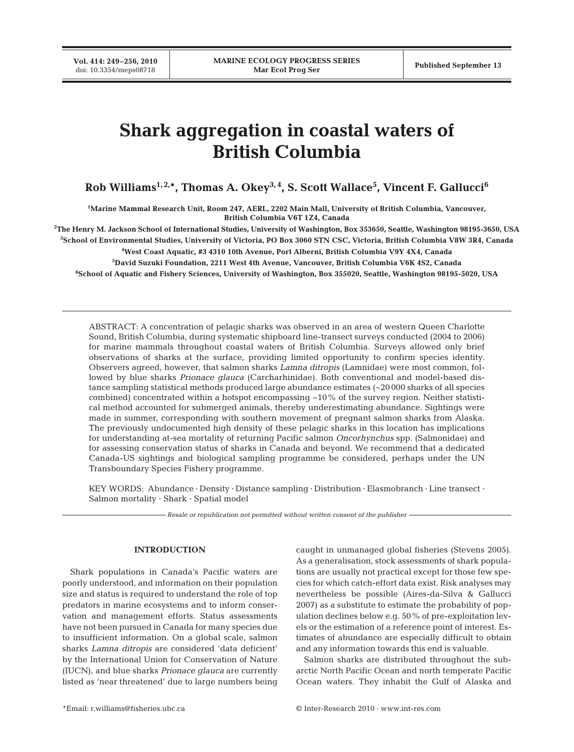**Vol. 414: 249–256, 2010**

# **Shark aggregation in coastal waters of British Columbia**

**Rob Williams1, 2,\*, Thomas A. Okey3, 4, S. Scott Wallace5 , Vincent F. Gallucci6**

**1 Marine Mammal Research Unit, Room 247, AERL, 2202 Main Mall, University of British Columbia, Vancouver, British Columbia V6T 1Z4, Canada**

**2 The Henry M. Jackson School of International Studies, University of Washington, Box 353650, Seattle, Washington 98195-3650, USA**

**3 School of Environmental Studies, University of Victoria, PO Box 3060 STN CSC, Victoria, British Columbia V8W 3R4, Canada 4 West Coast Aquatic, #3 4310 10th Avenue, Port Alberni, British Columbia V9Y 4X4, Canada**

**5 David Suzuki Foundation, 2211 West 4th Avenue, Vancouver, British Columbia V6K 4S2, Canada**

**6 School of Aquatic and Fishery Sciences, University of Washington, Box 355020, Seattle, Washington 98195-5020, USA**

ABSTRACT: A concentration of pelagic sharks was observed in an area of western Queen Charlotte Sound, British Columbia, during systematic shipboard line-transect surveys conducted (2004 to 2006) for marine mammals throughout coastal waters of British Columbia. Surveys allowed only brief observations of sharks at the surface, providing limited opportunity to confirm species identity. Observers agreed, however, that salmon sharks *Lamna ditropis* (Lamnidae) were most common, followed by blue sharks *Prionace glauca* (Carcharhinidae). Both conventional and model-based distance sampling statistical methods produced large abundance estimates (~20 000 sharks of all species combined) concentrated within a hotspot encompassing  $\sim 10\%$  of the survey region. Neither statistical method accounted for submerged animals, thereby underestimating abundance. Sightings were made in summer, corresponding with southern movement of pregnant salmon sharks from Alaska. The previously undocumented high density of these pelagic sharks in this location has implications for understanding at-sea mortality of returning Pacific salmon *Oncorhynchus* spp. (Salmonidae) and for assessing conservation status of sharks in Canada and beyond. We recommend that a dedicated Canada-US sightings and biological sampling programme be considered, perhaps under the UN Transboundary Species Fishery programme.

KEY WORDS: Abundance · Density · Distance sampling · Distribution · Elasmobranch · Line transect · Salmon mortality · Shark · Spatial model

*Resale or republication not permitted without written consent of the publisher*

### **INTRODUCTION**

Shark populations in Canada's Pacific waters are poorly understood, and information on their population size and status is required to understand the role of top predators in marine ecosystems and to inform conservation and management efforts. Status assessments have not been pursued in Canada for many species due to insufficient information. On a global scale, salmon sharks *Lamna ditropis* are considered 'data deficient' by the International Union for Conservation of Nature (IUCN), and blue sharks *Prionace glauca* are currently listed as 'near threatened' due to large numbers being

caught in unmanaged global fisheries (Stevens 2005). As a generalisation, stock assessments of shark populations are usually not practical except for those few species for which catch-effort data exist. Risk analyses may nevertheless be possible (Aires-da-Silva & Gallucci 2007) as a substitute to estimate the probability of population declines below e.g. 50% of pre-exploitation levels or the estimation of a reference point of interest. Estimates of abundance are especially difficult to obtain and any information towards this end is valuable.

Salmon sharks are distributed throughout the subarctic North Pacific Ocean and north temperate Pacific Ocean waters. They inhabit the Gulf of Alaska and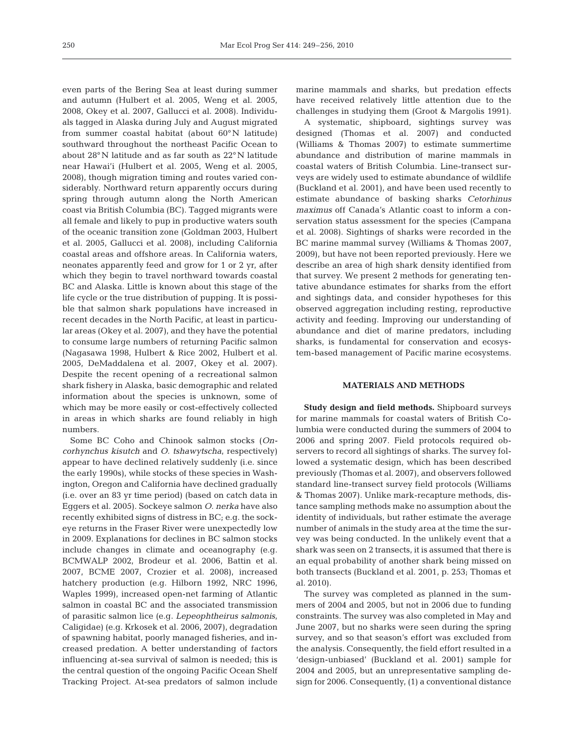even parts of the Bering Sea at least during summer and autumn (Hulbert et al. 2005, Weng et al. 2005, 2008, Okey et al. 2007, Gallucci et al. 2008). Individuals tagged in Alaska during July and August migrated from summer coastal habitat (about 60° N latitude) southward throughout the northeast Pacific Ocean to about 28° N latitude and as far south as 22° N latitude near Hawai'i (Hulbert et al. 2005, Weng et al. 2005, 2008), though migration timing and routes varied considerably. Northward return apparently occurs during spring through autumn along the North American coast via British Columbia (BC). Tagged migrants were all female and likely to pup in productive waters south of the oceanic transition zone (Goldman 2003, Hulbert et al. 2005, Gallucci et al. 2008), including California coastal areas and offshore areas. In California waters, neonates apparently feed and grow for 1 or 2 yr, after which they begin to travel northward towards coastal BC and Alaska. Little is known about this stage of the life cycle or the true distribution of pupping. It is possible that salmon shark populations have increased in recent decades in the North Pacific, at least in particular areas (Okey et al. 2007), and they have the potential to consume large numbers of returning Pacific salmon (Nagasawa 1998, Hulbert & Rice 2002, Hulbert et al. 2005, DeMaddalena et al. 2007, Okey et al. 2007). Despite the recent opening of a recreational salmon shark fishery in Alaska, basic demographic and related information about the species is unknown, some of which may be more easily or cost-effectively collected in areas in which sharks are found reliably in high numbers.

Some BC Coho and Chinook salmon stocks (*Oncorhynchus kisutch* and *O. tshawytscha*, respectively) appear to have declined relatively suddenly (i.e. since the early 1990s), while stocks of these species in Washington, Oregon and California have declined gradually (i.e. over an 83 yr time period) (based on catch data in Eggers et al. 2005). Sockeye salmon *O. nerka* have also recently exhibited signs of distress in BC; e.g. the sockeye returns in the Fraser River were unexpectedly low in 2009. Explanations for declines in BC salmon stocks include changes in climate and oceanography (e.g. BCMWALP 2002, Brodeur et al. 2006, Battin et al. 2007, BCME 2007, Crozier et al. 2008), increased hatchery production (e.g. Hilborn 1992, NRC 1996, Waples 1999), increased open-net farming of Atlantic salmon in coastal BC and the associated transmission of parasitic salmon lice (e.g. *Lepeophtheirus salmonis*, Caligidae) (e.g. Krkosek et al. 2006, 2007), degradation of spawning habitat, poorly managed fisheries, and increased predation. A better understanding of factors influencing at-sea survival of salmon is needed; this is the central question of the ongoing Pacific Ocean Shelf Tracking Project. At-sea predators of salmon include

marine mammals and sharks, but predation effects have received relatively little attention due to the challenges in studying them (Groot & Margolis 1991).

A systematic, shipboard, sightings survey was designed (Thomas et al. 2007) and conducted (Williams & Thomas 2007) to estimate summertime abundance and distribution of marine mammals in coastal waters of British Columbia. Line-transect surveys are widely used to estimate abundance of wildlife (Buckland et al. 2001), and have been used recently to estimate abundance of basking sharks *Cetorhinus maximus* off Canada's Atlantic coast to inform a conservation status assessment for the species (Campana et al. 2008). Sightings of sharks were recorded in the BC marine mammal survey (Williams & Thomas 2007, 2009), but have not been reported previously. Here we describe an area of high shark density identified from that survey. We present 2 methods for generating tentative abundance estimates for sharks from the effort and sightings data, and consider hypotheses for this observed aggregation including resting, reproductive activity and feeding. Improving our understanding of abundance and diet of marine predators, including sharks, is fundamental for conservation and ecosystem-based management of Pacific marine ecosystems.

## **MATERIALS AND METHODS**

**Study design and field methods.** Shipboard surveys for marine mammals for coastal waters of British Columbia were conducted during the summers of 2004 to 2006 and spring 2007. Field protocols required observers to record all sightings of sharks. The survey followed a systematic design, which has been described previously (Thomas et al. 2007), and observers followed standard line-transect survey field protocols (Williams & Thomas 2007). Unlike mark-recapture methods, distance sampling methods make no assumption about the identity of individuals, but rather estimate the average number of animals in the study area at the time the survey was being conducted. In the unlikely event that a shark was seen on 2 transects, it is assumed that there is an equal probability of another shark being missed on both transects (Buckland et al. 2001, p. 253; Thomas et al. 2010).

The survey was completed as planned in the summers of 2004 and 2005, but not in 2006 due to funding constraints. The survey was also completed in May and June 2007, but no sharks were seen during the spring survey, and so that season's effort was excluded from the analysis. Consequently, the field effort resulted in a 'design-unbiased' (Buckland et al. 2001) sample for 2004 and 2005, but an unrepresentative sampling design for 2006. Consequently, (1) a conventional distance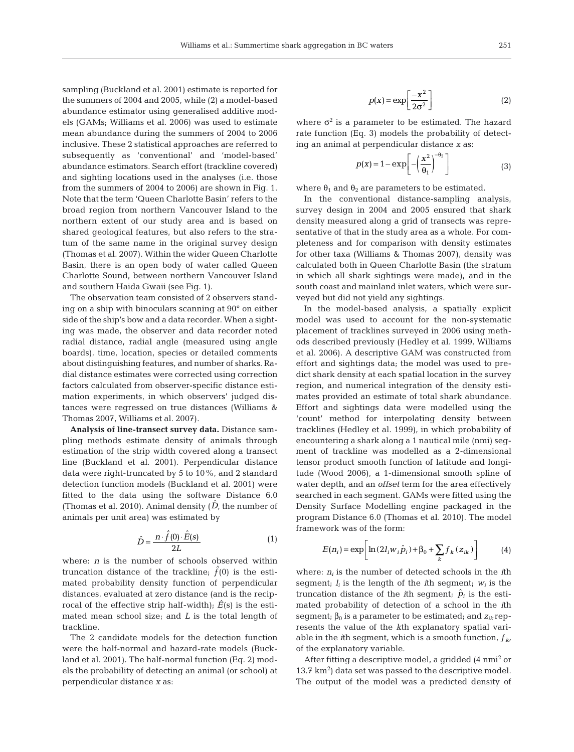sampling (Buckland et al. 2001) estimate is reported for the summers of 2004 and 2005, while (2) a model-based abundance estimator using generalised additive models (GAMs; Williams et al. 2006) was used to estimate mean abundance during the summers of 2004 to 2006 inclusive. These 2 statistical approaches are referred to subsequently as 'conventional' and 'model-based' abundance estimators. Search effort (trackline covered) and sighting locations used in the analyses (i.e. those from the summers of 2004 to 2006) are shown in Fig. 1. Note that the term 'Queen Charlotte Basin' refers to the broad region from northern Vancouver Island to the northern extent of our study area and is based on shared geological features, but also refers to the stratum of the same name in the original survey design (Thomas et al. 2007). Within the wider Queen Charlotte Basin, there is an open body of water called Queen Charlotte Sound, between northern Vancouver Island and southern Haida Gwaii (see Fig. 1).

The observation team consisted of 2 observers standing on a ship with binoculars scanning at 90° on either side of the ship's bow and a data recorder. When a sighting was made, the observer and data recorder noted radial distance, radial angle (measured using angle boards), time, location, species or detailed comments about distinguishing features, and number of sharks. Radial distance estimates were corrected using correction factors calculated from observer-specific distance estimation experiments, in which observers' judged distances were regressed on true distances (Williams & Thomas 2007, Williams et al. 2007).

**Analysis of line-transect survey data.** Distance sampling methods estimate density of animals through estimation of the strip width covered along a transect line (Buckland et al. 2001). Perpendicular distance data were right-truncated by 5 to 10%, and 2 standard detection function models (Buckland et al. 2001) were fitted to the data using the software Distance 6.0 (Thomas et al. 2010). Animal density  $(\hat{D},$  the number of animals per unit area) was estimated by

$$
\hat{D} = \frac{n \cdot \hat{f}(0) \cdot \hat{E}(s)}{2L} \tag{1}
$$

where: *n* is the number of schools observed within truncation distance of the trackline;  $\hat{f}(0)$  is the estimated probability density function of perpendicular distances, evaluated at zero distance (and is the reciprocal of the effective strip half-width);  $\hat{E}(s)$  is the estimated mean school size; and *L* is the total length of trackline.

The 2 candidate models for the detection function were the half-normal and hazard-rate models (Buckland et al. 2001). The half-normal function (Eq. 2) models the probability of detecting an animal (or school) at perpendicular distance *x* as:

$$
p(x) = \exp\left[\frac{-x^2}{2\sigma^2}\right]
$$
 (2)

where  $\sigma^2$  is a parameter to be estimated. The hazard rate function (Eq. 3) models the probability of detecting an animal at perpendicular distance *x* as:

$$
p(x) = 1 - \exp\left[-\left(\frac{x^2}{\theta_1}\right)^{-\theta_2}\right]
$$
 (3)

where  $\theta_1$  and  $\theta_2$  are parameters to be estimated.

In the conventional distance-sampling analysis, survey design in 2004 and 2005 ensured that shark density measured along a grid of transects was representative of that in the study area as a whole. For completeness and for comparison with density estimates for other taxa (Williams & Thomas 2007), density was calculated both in Queen Charlotte Basin (the stratum in which all shark sightings were made), and in the south coast and mainland inlet waters, which were surveyed but did not yield any sightings.

In the model-based analysis, a spatially explicit model was used to account for the non-systematic placement of tracklines surveyed in 2006 using methods described previously (Hedley et al. 1999, Williams et al. 2006). A descriptive GAM was constructed from effort and sightings data; the model was used to predict shark density at each spatial location in the survey region, and numerical integration of the density estimates provided an estimate of total shark abundance. Effort and sightings data were modelled using the 'count' method for interpolating density between tracklines (Hedley et al. 1999), in which probability of encountering a shark along a 1 nautical mile (nmi) segment of trackline was modelled as a 2-dimensional tensor product smooth function of latitude and longitude (Wood 2006), a 1-dimensional smooth spline of water depth, and an *offset* term for the area effectively searched in each segment. GAMs were fitted using the Density Surface Modelling engine packaged in the program Distance 6.0 (Thomas et al. 2010). The model framework was of the form:

$$
E(n_i) = \exp\left[\ln(2I_iw_i\hat{p}_i) + \beta_0 + \sum_k f_k(z_{ik})\right]
$$
 (4)

where: *ni* is the number of detected schools in the *i*th segment;  $l_i$  is the length of the  $i$ th segment;  $w_i$  is the truncation distance of the *i*th segment;  $\hat{p}_i$  is the estimated probability of detection of a school in the *i*th segment;  $\beta_0$  is a parameter to be estimated; and  $z_{ik}$  represents the value of the *k*th explanatory spatial variable in the *i*th segment, which is a smooth function,  $f_k$ , of the explanatory variable.

After fitting a descriptive model, a gridded (4 nmi<sup>2</sup> or 13.7  $km<sup>2</sup>$ ) data set was passed to the descriptive model. The output of the model was a predicted density of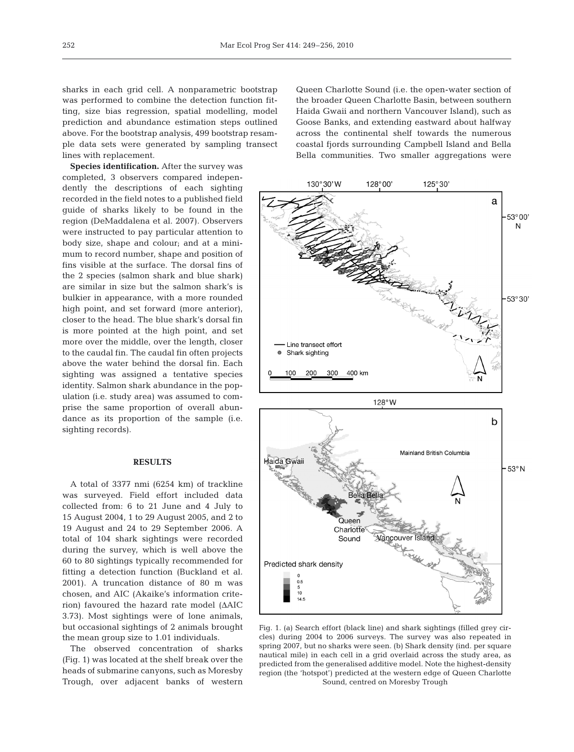sharks in each grid cell. A nonparametric bootstrap was performed to combine the detection function fitting, size bias regression, spatial modelling, model prediction and abundance estimation steps outlined above. For the bootstrap analysis, 499 bootstrap resample data sets were generated by sampling transect lines with replacement.

**Species identification.** After the survey was completed, 3 observers compared independently the descriptions of each sighting recorded in the field notes to a published field guide of sharks likely to be found in the region (DeMaddalena et al. 2007). Observers were instructed to pay particular attention to body size, shape and colour; and at a minimum to record number, shape and position of fins visible at the surface. The dorsal fins of the 2 species (salmon shark and blue shark) are similar in size but the salmon shark's is bulkier in appearance, with a more rounded high point, and set forward (more anterior), closer to the head. The blue shark's dorsal fin is more pointed at the high point, and set more over the middle, over the length, closer to the caudal fin. The caudal fin often projects above the water behind the dorsal fin. Each sighting was assigned a tentative species identity. Salmon shark abundance in the population (i.e. study area) was assumed to comprise the same proportion of overall abundance as its proportion of the sample (i.e. sighting records).

## **RESULTS**

A total of 3377 nmi (6254 km) of trackline was surveyed. Field effort included data collected from: 6 to 21 June and 4 July to 15 August 2004, 1 to 29 August 2005, and 2 to 19 August and 24 to 29 September 2006. A total of 104 shark sightings were recorded during the survey, which is well above the 60 to 80 sightings typically recommended for fitting a detection function (Buckland et al. 2001). A truncation distance of 80 m was chosen, and AIC (Akaike's information criterion) favoured the hazard rate model (ΔAIC 3.73). Most sightings were of lone animals, but occasional sightings of 2 animals brought the mean group size to 1.01 individuals.

The observed concentration of sharks (Fig. 1) was located at the shelf break over the heads of submarine canyons, such as Moresby Trough, over adjacent banks of western

Queen Charlotte Sound (i.e. the open-water section of the broader Queen Charlotte Basin, between southern Haida Gwaii and northern Vancouver Island), such as Goose Banks, and extending eastward about halfway across the continental shelf towards the numerous coastal fjords surrounding Campbell Island and Bella Bella communities. Two smaller aggregations were



Fig. 1. (a) Search effort (black line) and shark sightings (filled grey circles) during 2004 to 2006 surveys. The survey was also repeated in spring 2007, but no sharks were seen. (b) Shark density (ind. per square nautical mile) in each cell in a grid overlaid across the study area, as predicted from the generalised additive model. Note the highest-density region (the 'hotspot') predicted at the western edge of Queen Charlotte Sound, centred on Moresby Trough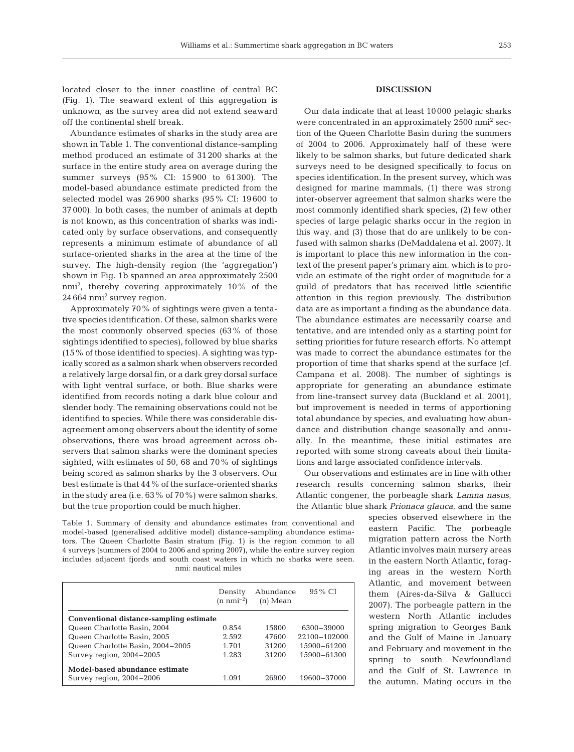located closer to the inner coastline of central BC (Fig. 1). The seaward extent of this aggregation is unknown, as the survey area did not extend seaward off the continental shelf break.

Abundance estimates of sharks in the study area are shown in Table 1. The conventional distance-sampling method produced an estimate of 31 200 sharks at the surface in the entire study area on average during the summer surveys (95% CI: 15 900 to 61 300). The model-based abundance estimate predicted from the selected model was 26 900 sharks (95% CI: 19 600 to 37 000). In both cases, the number of animals at depth is not known, as this concentration of sharks was indicated only by surface observations, and consequently represents a minimum estimate of abundance of all surface-oriented sharks in the area at the time of the survey. The high-density region (the 'aggregation') shown in Fig. 1b spanned an area approximately 2500 nmi<sup>2</sup> , thereby covering approximately 10% of the 24 664 nmi2 survey region.

Approximately 70% of sightings were given a tentative species identification. Of these, salmon sharks were the most commonly observed species (63% of those sightings identified to species), followed by blue sharks (15% of those identified to species). A sighting was typically scored as a salmon shark when observers recorded a relatively large dorsal fin, or a dark grey dorsal surface with light ventral surface, or both. Blue sharks were identified from records noting a dark blue colour and slender body. The remaining observations could not be identified to species. While there was considerable disagreement among observers about the identity of some observations, there was broad agreement across observers that salmon sharks were the dominant species sighted, with estimates of 50, 68 and 70% of sightings being scored as salmon sharks by the 3 observers. Our best estimate is that 44% of the surface-oriented sharks in the study area (i.e. 63% of 70%) were salmon sharks, but the true proportion could be much higher.

## **DISCUSSION**

Our data indicate that at least 10 000 pelagic sharks were concentrated in an approximately 2500 nmi2 section of the Queen Charlotte Basin during the summers of 2004 to 2006. Approximately half of these were likely to be salmon sharks, but future dedicated shark surveys need to be designed specifically to focus on species identification. In the present survey, which was designed for marine mammals, (1) there was strong inter-observer agreement that salmon sharks were the most commonly identified shark species, (2) few other species of large pelagic sharks occur in the region in this way, and (3) those that do are unlikely to be confused with salmon sharks (DeMaddalena et al. 2007). It is important to place this new information in the context of the present paper's primary aim, which is to provide an estimate of the right order of magnitude for a guild of predators that has received little scientific attention in this region previously. The distribution data are as important a finding as the abundance data. The abundance estimates are necessarily coarse and tentative, and are intended only as a starting point for setting priorities for future research efforts. No attempt was made to correct the abundance estimates for the proportion of time that sharks spend at the surface (cf. Campana et al. 2008). The number of sightings is appropriate for generating an abundance estimate from line-transect survey data (Buckland et al. 2001), but improvement is needed in terms of apportioning total abundance by species, and evaluating how abundance and distribution change seasonally and annually. In the meantime, these initial estimates are reported with some strong caveats about their limitations and large associated confidence intervals.

Our observations and estimates are in line with other research results concerning salmon sharks, their Atlantic congener, the porbeagle shark *Lamna nasus*, the Atlantic blue shark *Prionaca glauca*, and the same

> species observed elsewhere in the eastern Pacific. The porbeagle migration pattern across the North Atlantic involves main nursery areas in the eastern North Atlantic, foraging areas in the western North Atlantic, and movement between them (Aires-da-Silva & Gallucci 2007). The porbeagle pattern in the western North Atlantic includes spring migration to Georges Bank and the Gulf of Maine in January and February and movement in the spring to south Newfoundland and the Gulf of St. Lawrence in the autumn. Mating occurs in the

Table 1. Summary of density and abundance estimates from conventional and model-based (generalised additive model) distance-sampling abundance estimators. The Queen Charlotte Basin stratum (Fig. 1) is the region common to all 4 surveys (summers of 2004 to 2006 and spring 2007), while the entire survey region includes adjacent fjords and south coast waters in which no sharks were seen. nmi: nautical miles

|                                                            | Density<br>$(n \text{ nm}i^{-2})$ | Abundance<br>$(n)$ Mean | 95 % CI      |
|------------------------------------------------------------|-----------------------------------|-------------------------|--------------|
| Conventional distance-sampling estimate                    |                                   |                         |              |
| Queen Charlotte Basin, 2004                                | 0.854                             | 15800                   | 6300-39000   |
| Queen Charlotte Basin, 2005                                | 2.592                             | 47600                   | 22100-102000 |
| Queen Charlotte Basin, 2004-2005                           | 1.701                             | 31200                   | 15900-61200  |
| Survey region, 2004-2005                                   | 1.283                             | 31200                   | 15900-61300  |
| Model-based abundance estimate<br>Survey region, 2004-2006 | 1.091                             | 26900                   | 19600-37000  |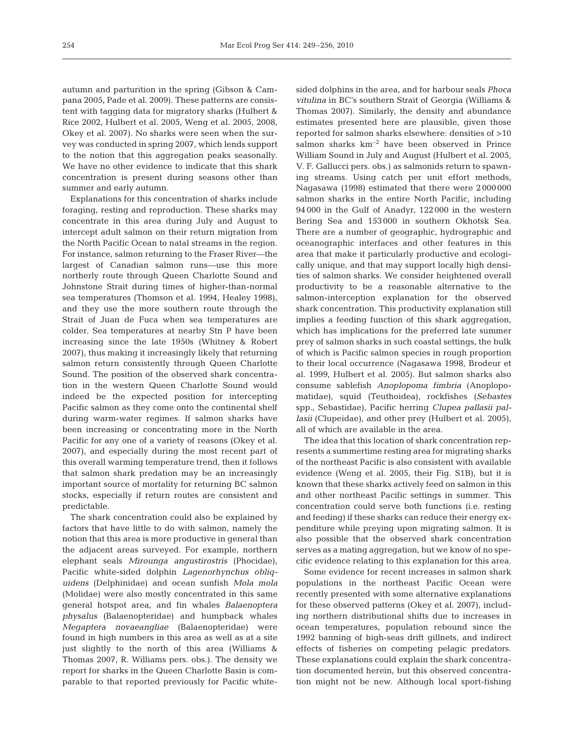autumn and parturition in the spring (Gibson & Campana 2005, Pade et al. 2009). These patterns are consistent with tagging data for migratory sharks (Hulbert & Rice 2002, Hulbert et al. 2005, Weng et al. 2005, 2008, Okey et al. 2007). No sharks were seen when the survey was conducted in spring 2007, which lends support to the notion that this aggregation peaks seasonally. We have no other evidence to indicate that this shark concentration is present during seasons other than summer and early autumn.

Explanations for this concentration of sharks include foraging, resting and reproduction. These sharks may concentrate in this area during July and August to intercept adult salmon on their return migration from the North Pacific Ocean to natal streams in the region. For instance, salmon returning to the Fraser River—the largest of Canadian salmon runs—use this more northerly route through Queen Charlotte Sound and Johnstone Strait during times of higher-than-normal sea temperatures (Thomson et al. 1994, Healey 1998), and they use the more southern route through the Strait of Juan de Fuca when sea temperatures are colder. Sea temperatures at nearby Stn P have been increasing since the late 1950s (Whitney & Robert 2007), thus making it increasingly likely that returning salmon return consistently through Queen Charlotte Sound. The position of the observed shark concentration in the western Queen Charlotte Sound would indeed be the expected position for intercepting Pacific salmon as they come onto the continental shelf during warm-water regimes. If salmon sharks have been increasing or concentrating more in the North Pacific for any one of a variety of reasons (Okey et al. 2007), and especially during the most recent part of this overall warming temperature trend, then it follows that salmon shark predation may be an increasingly important source of mortality for returning BC salmon stocks, especially if return routes are consistent and predictable.

The shark concentration could also be explained by factors that have little to do with salmon, namely the notion that this area is more productive in general than the adjacent areas surveyed. For example, northern elephant seals *Mirounga angustirostris* (Phocidae), Pacific white-sided dolphin *Lagenorhynchus obliquidens* (Delphinidae) and ocean sunfish *Mola mola* (Molidae) were also mostly concentrated in this same general hotspot area, and fin whales *Balaenoptera physalus* (Balaenopteridae) and humpback whales *Megaptera novaeangliae* (Balaenopteridae) were found in high numbers in this area as well as at a site just slightly to the north of this area (Williams & Thomas 2007, R. Williams pers. obs.). The density we report for sharks in the Queen Charlotte Basin is comparable to that reported previously for Pacific whitesided dolphins in the area, and for harbour seals *Phoca vitulina* in BC's southern Strait of Georgia (Williams & Thomas 2007). Similarly, the density and abundance estimates presented here are plausible, given those reported for salmon sharks elsewhere: densities of >10 salmon sharks km–2 have been observed in Prince William Sound in July and August (Hulbert et al. 2005, V. F. Gallucci pers. obs.) as salmonids return to spawning streams. Using catch per unit effort methods, Nagasawa (1998) estimated that there were 2 000 000 salmon sharks in the entire North Pacific, including 94 000 in the Gulf of Anadyr, 122 000 in the western Bering Sea and 153 000 in southern Okhotsk Sea. There are a number of geographic, hydrographic and oceanographic interfaces and other features in this area that make it particularly productive and ecologically unique, and that may support locally high densities of salmon sharks. We consider heightened overall productivity to be a reasonable alternative to the salmon-interception explanation for the observed shark concentration. This productivity explanation still implies a feeding function of this shark aggregation, which has implications for the preferred late summer prey of salmon sharks in such coastal settings, the bulk of which is Pacific salmon species in rough proportion to their local occurrence (Nagasawa 1998, Brodeur et al. 1999, Hulbert et al. 2005). But salmon sharks also consume sablefish *Anoplopoma fimbria* (Anoplopomatidae), squid (Teuthoidea), rockfishes (*Sebastes* spp., Sebastidae), Pacific herring *Clupea pallasii pallasii* (Clupeidae), and other prey (Hulbert et al. 2005), all of which are available in the area.

The idea that this location of shark concentration represents a summertime resting area for migrating sharks of the northeast Pacific is also consistent with available evidence (Weng et al. 2005, their Fig. S1B), but it is known that these sharks actively feed on salmon in this and other northeast Pacific settings in summer. This concentration could serve both functions (i.e. resting and feeding) if these sharks can reduce their energy expenditure while preying upon migrating salmon. It is also possible that the observed shark concentration serves as a mating aggregation, but we know of no specific evidence relating to this explanation for this area.

Some evidence for recent increases in salmon shark populations in the northeast Pacific Ocean were recently presented with some alternative explanations for these observed patterns (Okey et al. 2007), including northern distributional shifts due to increases in ocean temperatures, population rebound since the 1992 banning of high-seas drift gillnets, and indirect effects of fisheries on competing pelagic predators. These explanations could explain the shark concentration documented herein, but this observed concentration might not be new. Although local sport-fishing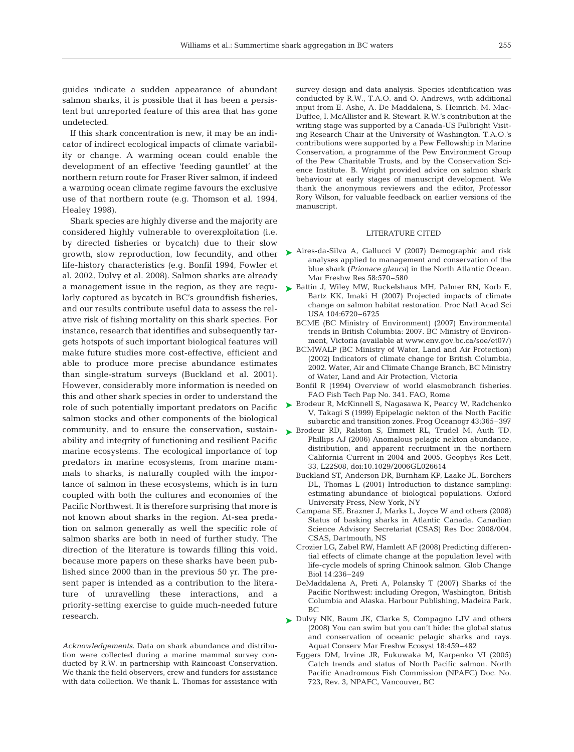guides indicate a sudden appearance of abundant salmon sharks, it is possible that it has been a persistent but unreported feature of this area that has gone undetected.

If this shark concentration is new, it may be an indicator of indirect ecological impacts of climate variability or change. A warming ocean could enable the development of an effective 'feeding gauntlet' at the northern return route for Fraser River salmon, if indeed a warming ocean climate regime favours the exclusive use of that northern route (e.g. Thomson et al. 1994, Healey 1998).

Shark species are highly diverse and the majority are considered highly vulnerable to overexploitation (i.e. by directed fisheries or bycatch) due to their slow life-history characteristics (e.g. Bonfil 1994, Fowler et al. 2002, Dulvy et al. 2008). Salmon sharks are already larly captured as bycatch in BC's groundfish fisheries, and our results contribute useful data to assess the relative risk of fishing mortality on this shark species. For instance, research that identifies and subsequently targets hotspots of such important biological features will make future studies more cost-effective, efficient and able to produce more precise abundance estimates than single-stratum surveys (Buckland et al. 2001). However, considerably more information is needed on this and other shark species in order to understand the role of such potentially important predators on Pacific salmon stocks and other components of the biological community, and to ensure the conservation, sustainability and integrity of functioning and resilient Pacific marine ecosystems. The ecological importance of top predators in marine ecosystems, from marine mammals to sharks, is naturally coupled with the importance of salmon in these ecosystems, which is in turn coupled with both the cultures and economies of the Pacific Northwest. It is therefore surprising that more is not known about sharks in the region. At-sea predation on salmon generally as well the specific role of salmon sharks are both in need of further study. The direction of the literature is towards filling this void, because more papers on these sharks have been published since 2000 than in the previous 50 yr. The present paper is intended as a contribution to the literature of unravelling these interactions, and a priority-setting exercise to guide much-needed future research.

*Acknowledgements.* Data on shark abundance and distribution were collected during a marine mammal survey conducted by R.W. in partnership with Raincoast Conservation. We thank the field observers, crew and funders for assistance with data collection. We thank L. Thomas for assistance with

survey design and data analysis. Species identification was conducted by R.W., T.A.O. and O. Andrews, with additional input from E. Ashe, A. De Maddalena, S. Heinrich, M. Mac-Duffee, I. McAllister and R. Stewart. R.W.'s contribution at the writing stage was supported by a Canada-US Fulbright Visiting Research Chair at the University of Washington. T.A.O.'s contributions were supported by a Pew Fellowship in Marine Conservation, a programme of the Pew Environment Group of the Pew Charitable Trusts, and by the Conservation Science Institute. B. Wright provided advice on salmon shark behaviour at early stages of manuscript development. We thank the anonymous reviewers and the editor, Professor Rory Wilson, for valuable feedback on earlier versions of the manuscript.

### LITERATURE CITED

- growth, slow reproduction, low fecundity, and other Aires-da-Silva A, Gallucci V (2007) Demographic and risk analyses applied to management and conservation of the blue shark (*Prionace glauca*) in the North Atlantic Ocean. Mar Freshw Res 58:570–580
- a management issue in the region, as they are regu- Battin J, Wiley MW, Ruckelshaus MH, Palmer RN, Korb E, Bartz KK, Imaki H (2007) Projected impacts of climate change on salmon habitat restoration. Proc Natl Acad Sci USA 104:6720–6725
	- BCME (BC Ministry of Environment) (2007) Environmental trends in British Columbia: 2007. BC Ministry of Environment, Victoria (available at www.env.gov.bc.ca/soe/et07/)
	- BCMWALP (BC Ministry of Water, Land and Air Protection) (2002) Indicators of climate change for British Columbia, 2002. Water, Air and Climate Change Branch, BC Ministry of Water, Land and Air Protection, Victoria
	- Bonfil R (1994) Overview of world elasmobranch fisheries. FAO Fish Tech Pap No. 341. FAO, Rome
	- ► Brodeur R, McKinnell S, Nagasawa K, Pearcy W, Radchenko V, Takagi S (1999) Epipelagic nekton of the North Pacific subarctic and transition zones. Prog Oceanogr 43:365–397
	- ▶ Brodeur RD, Ralston S, Emmett RL, Trudel M, Auth TD, Phillips AJ (2006) Anomalous pelagic nekton abundance, distribution, and apparent recruitment in the northern California Current in 2004 and 2005. Geophys Res Lett, 33, L22S08, doi:10.1029/2006GL026614
		- Buckland ST, Anderson DR, Burnham KP, Laake JL, Borchers DL, Thomas L (2001) Introduction to distance sampling: estimating abundance of biological populations. Oxford University Press, New York, NY
		- Campana SE, Brazner J, Marks L, Joyce W and others (2008) Status of basking sharks in Atlantic Canada. Canadian Science Advisory Secretariat (CSAS) Res Doc 2008/004, CSAS, Dartmouth, NS
		- Crozier LG, Zabel RW, Hamlett AF (2008) Predicting differential effects of climate change at the population level with life-cycle models of spring Chinook salmon. Glob Change Biol 14:236–249
		- DeMaddalena A, Preti A, Polansky T (2007) Sharks of the Pacific Northwest: including Oregon, Washington, British Columbia and Alaska. Harbour Publishing, Madeira Park, BC
	- ► Dulvy NK, Baum JK, Clarke S, Compagno LJV and others (2008) You can swim but you can't hide: the global status and conservation of oceanic pelagic sharks and rays. Aquat Conserv Mar Freshw Ecosyst 18:459–482
		- Eggers DM, Irvine JR, Fukuwaka M, Karpenko VI (2005) Catch trends and status of North Pacific salmon. North Pacific Anadromous Fish Commission (NPAFC) Doc. No. 723, Rev. 3, NPAFC, Vancouver, BC